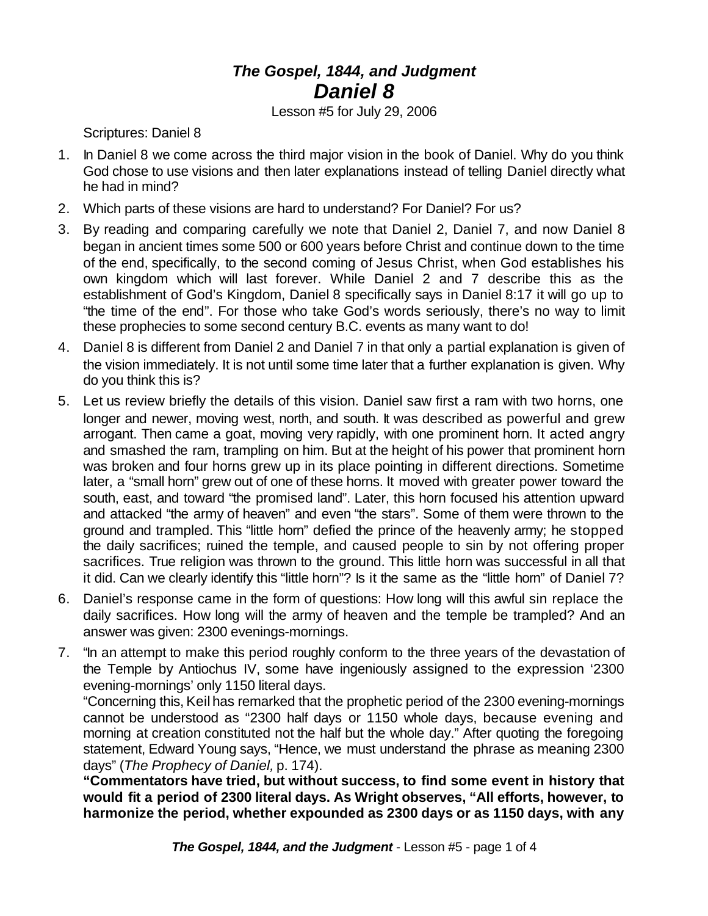## *The Gospel, 1844, and Judgment Daniel 8*

Lesson #5 for July 29, 2006

Scriptures: Daniel 8

- 1. In Daniel 8 we come across the third major vision in the book of Daniel. Why do you think God chose to use visions and then later explanations instead of telling Daniel directly what he had in mind?
- 2. Which parts of these visions are hard to understand? For Daniel? For us?
- 3. By reading and comparing carefully we note that Daniel 2, Daniel 7, and now Daniel 8 began in ancient times some 500 or 600 years before Christ and continue down to the time of the end, specifically, to the second coming of Jesus Christ, when God establishes his own kingdom which will last forever. While Daniel 2 and 7 describe this as the establishment of God's Kingdom, Daniel 8 specifically says in Daniel 8:17 it will go up to "the time of the end". For those who take God's words seriously, there's no way to limit these prophecies to some second century B.C. events as many want to do!
- 4. Daniel 8 is different from Daniel 2 and Daniel 7 in that only a partial explanation is given of the vision immediately. It is not until some time later that a further explanation is given. Why do you think this is?
- 5. Let us review briefly the details of this vision. Daniel saw first a ram with two horns, one longer and newer, moving west, north, and south. It was described as powerful and grew arrogant. Then came a goat, moving very rapidly, with one prominent horn. It acted angry and smashed the ram, trampling on him. But at the height of his power that prominent horn was broken and four horns grew up in its place pointing in different directions. Sometime later, a "small horn" grew out of one of these horns. It moved with greater power toward the south, east, and toward "the promised land". Later, this horn focused his attention upward and attacked "the army of heaven" and even "the stars". Some of them were thrown to the ground and trampled. This "little horn" defied the prince of the heavenly army; he stopped the daily sacrifices; ruined the temple, and caused people to sin by not offering proper sacrifices. True religion was thrown to the ground. This little horn was successful in all that it did. Can we clearly identify this "little horn"? Is it the same as the "little horn" of Daniel 7?
- 6. Daniel's response came in the form of questions: How long will this awful sin replace the daily sacrifices. How long will the army of heaven and the temple be trampled? And an answer was given: 2300 evenings-mornings.
- 7. "In an attempt to make this period roughly conform to the three years of the devastation of the Temple by Antiochus IV, some have ingeniously assigned to the expression '2300 evening-mornings' only 1150 literal days.

"Concerning this, Keil has remarked that the prophetic period of the 2300 evening-mornings cannot be understood as "2300 half days or 1150 whole days, because evening and morning at creation constituted not the half but the whole day." After quoting the foregoing statement, Edward Young says, "Hence, we must understand the phrase as meaning 2300 days" (*The Prophecy of Daniel,* p. 174).

**"Commentators have tried, but without success, to find some event in history that would fit a period of 2300 literal days. As Wright observes, "All efforts, however, to harmonize the period, whether expounded as 2300 days or as 1150 days, with any**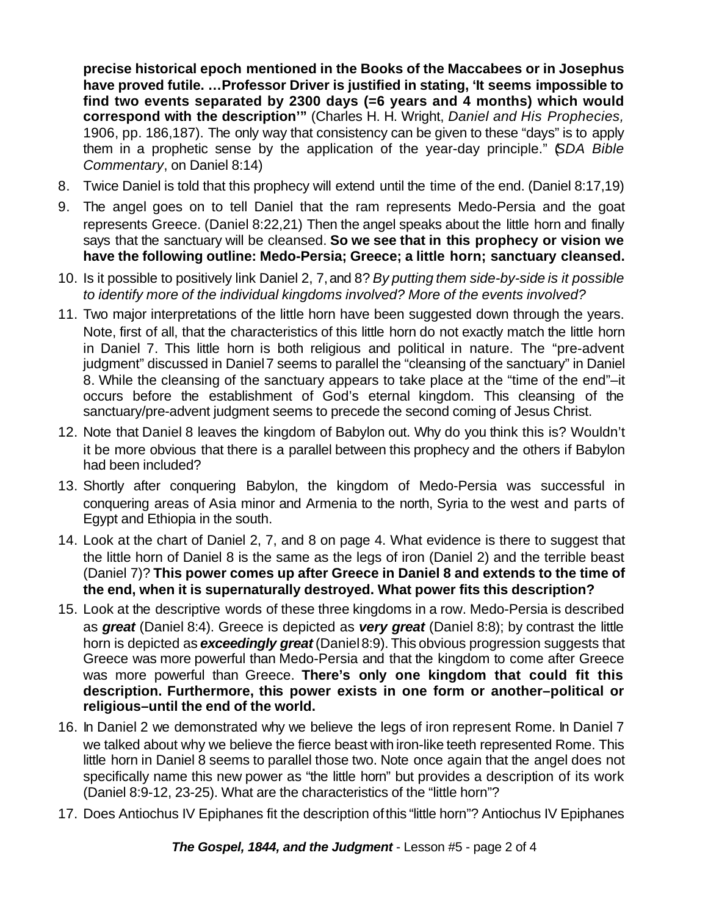**precise historical epoch mentioned in the Books of the Maccabees or in Josephus have proved futile. …Professor Driver is justified in stating, 'It seems impossible to find two events separated by 2300 days (=6 years and 4 months) which would correspond with the description'"** (Charles H. H. Wright, *Daniel and His Prophecies,* 1906, pp. 186,187). The only way that consistency can be given to these "days" is to apply them in a prophetic sense by the application of the year-day principle." (*SDA Bible Commentary*, on Daniel 8:14)

- 8. Twice Daniel is told that this prophecy will extend until the time of the end. (Daniel 8:17,19)
- 9. The angel goes on to tell Daniel that the ram represents Medo-Persia and the goat represents Greece. (Daniel 8:22,21) Then the angel speaks about the little horn and finally says that the sanctuary will be cleansed. **So we see that in this prophecy or vision we have the following outline: Medo-Persia; Greece; a little horn; sanctuary cleansed.**
- 10. Is it possible to positively link Daniel 2, 7,and 8? *By putting them side-by-side is it possible to identify more of the individual kingdoms involved? More of the events involved?*
- 11. Two major interpretations of the little horn have been suggested down through the years. Note, first of all, that the characteristics of this little horn do not exactly match the little horn in Daniel 7. This little horn is both religious and political in nature. The "pre-advent judgment" discussed in Daniel7 seems to parallel the "cleansing of the sanctuary" in Daniel 8. While the cleansing of the sanctuary appears to take place at the "time of the end"–it occurs before the establishment of God's eternal kingdom. This cleansing of the sanctuary/pre-advent judgment seems to precede the second coming of Jesus Christ.
- 12. Note that Daniel 8 leaves the kingdom of Babylon out. Why do you think this is? Wouldn't it be more obvious that there is a parallel between this prophecy and the others if Babylon had been included?
- 13. Shortly after conquering Babylon, the kingdom of Medo-Persia was successful in conquering areas of Asia minor and Armenia to the north, Syria to the west and parts of Egypt and Ethiopia in the south.
- 14. Look at the chart of Daniel 2, 7, and 8 on page 4. What evidence is there to suggest that the little horn of Daniel 8 is the same as the legs of iron (Daniel 2) and the terrible beast (Daniel 7)? **This power comes up after Greece in Daniel 8 and extends to the time of the end, when it is supernaturally destroyed. What power fits this description?**
- 15. Look at the descriptive words of these three kingdoms in a row. Medo-Persia is described as *great* (Daniel 8:4). Greece is depicted as *very great* (Daniel 8:8); by contrast the little horn is depicted as *exceedingly great* (Daniel8:9). This obvious progression suggests that Greece was more powerful than Medo-Persia and that the kingdom to come after Greece was more powerful than Greece. **There's only one kingdom that could fit this description. Furthermore, this power exists in one form or another–political or religious–until the end of the world.**
- 16. In Daniel 2 we demonstrated why we believe the legs of iron represent Rome. In Daniel 7 we talked about why we believe the fierce beast with iron-like teeth represented Rome. This little horn in Daniel 8 seems to parallel those two. Note once again that the angel does not specifically name this new power as "the little horn" but provides a description of its work (Daniel 8:9-12, 23-25). What are the characteristics of the "little horn"?
- 17. Does Antiochus IV Epiphanes fit the description ofthis "little horn"? Antiochus IV Epiphanes

*The Gospel, 1844, and the Judgment* - Lesson #5 - page 2 of 4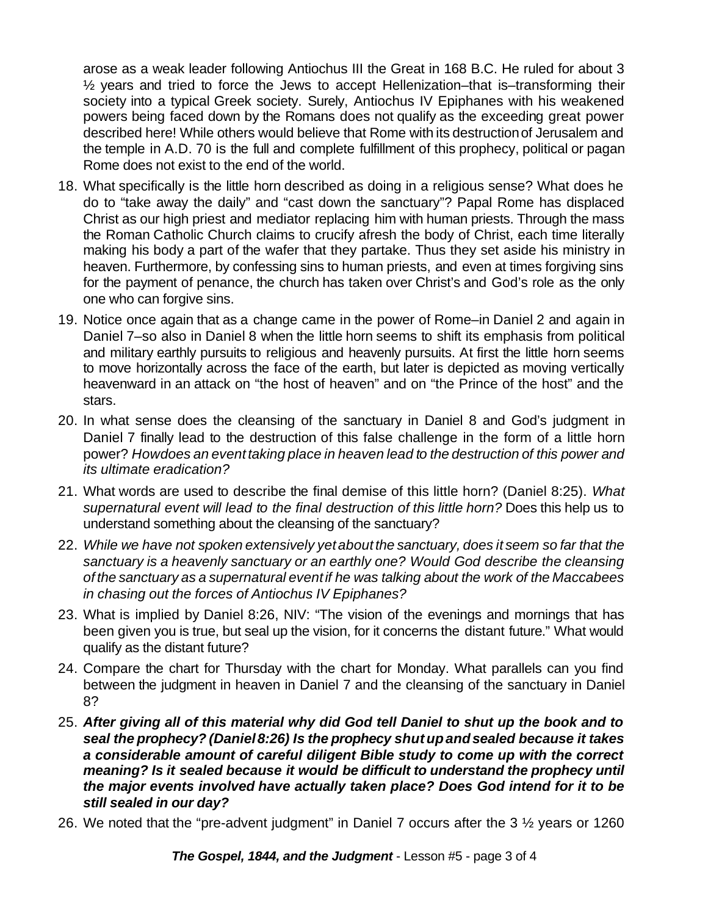arose as a weak leader following Antiochus III the Great in 168 B.C. He ruled for about 3 ½ years and tried to force the Jews to accept Hellenization–that is–transforming their society into a typical Greek society. Surely, Antiochus IV Epiphanes with his weakened powers being faced down by the Romans does not qualify as the exceeding great power described here! While others would believe that Rome with its destructionof Jerusalem and the temple in A.D. 70 is the full and complete fulfillment of this prophecy, political or pagan Rome does not exist to the end of the world.

- 18. What specifically is the little horn described as doing in a religious sense? What does he do to "take away the daily" and "cast down the sanctuary"? Papal Rome has displaced Christ as our high priest and mediator replacing him with human priests. Through the mass the Roman Catholic Church claims to crucify afresh the body of Christ, each time literally making his body a part of the wafer that they partake. Thus they set aside his ministry in heaven. Furthermore, by confessing sins to human priests, and even at times forgiving sins for the payment of penance, the church has taken over Christ's and God's role as the only one who can forgive sins.
- 19. Notice once again that as a change came in the power of Rome–in Daniel 2 and again in Daniel 7–so also in Daniel 8 when the little horn seems to shift its emphasis from political and military earthly pursuits to religious and heavenly pursuits. At first the little horn seems to move horizontally across the face of the earth, but later is depicted as moving vertically heavenward in an attack on "the host of heaven" and on "the Prince of the host" and the stars.
- 20. In what sense does the cleansing of the sanctuary in Daniel 8 and God's judgment in Daniel 7 finally lead to the destruction of this false challenge in the form of a little horn power? *Howdoes an eventtaking place in heaven lead to the destruction of this power and its ultimate eradication?*
- 21. What words are used to describe the final demise of this little horn? (Daniel 8:25). *What supernatural event will lead to the final destruction of this little horn?* Does this help us to understand something about the cleansing of the sanctuary?
- 22. *While we have not spoken extensively yetaboutthe sanctuary, does it seem so far that the sanctuary is a heavenly sanctuary or an earthly one? Would God describe the cleansing of the sanctuary as a supernatural eventif he was talking about the work of the Maccabees in chasing out the forces of Antiochus IV Epiphanes?*
- 23. What is implied by Daniel 8:26, NIV: "The vision of the evenings and mornings that has been given you is true, but seal up the vision, for it concerns the distant future." What would qualify as the distant future?
- 24. Compare the chart for Thursday with the chart for Monday. What parallels can you find between the judgment in heaven in Daniel 7 and the cleansing of the sanctuary in Daniel 8?
- 25. *After giving all of this material why did God tell Daniel to shut up the book and to seal the prophecy? (Daniel8:26) Is the prophecy shutupandsealed because it takes a considerable amount of careful diligent Bible study to come up with the correct meaning? Is it sealed because it would be difficult to understand the prophecy until the major events involved have actually taken place? Does God intend for it to be still sealed in our day?*
- 26. We noted that the "pre-advent judgment" in Daniel 7 occurs after the 3 ½ years or 1260